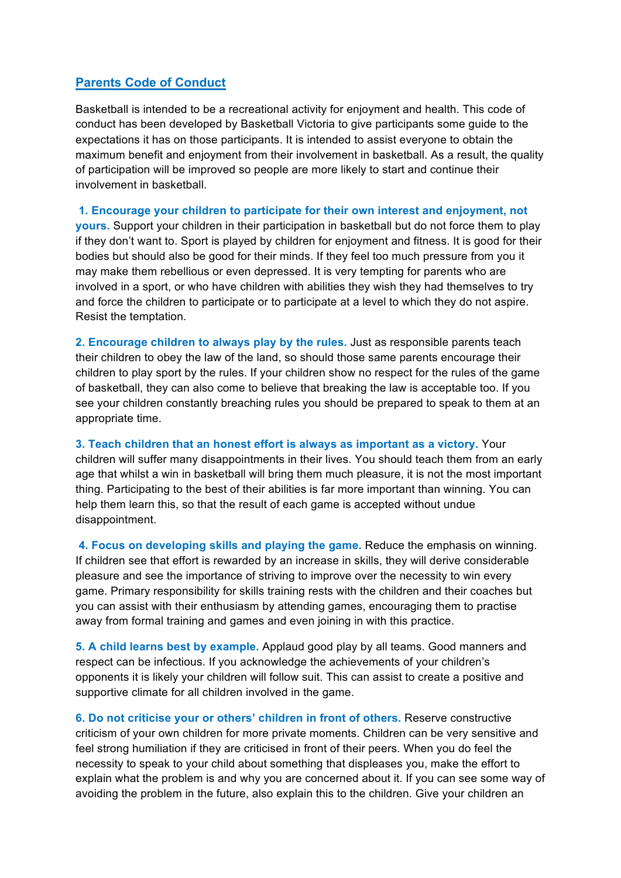## **Parents Code of Conduct**

Basketball is intended to be a recreational activity for enjoyment and health. This code of conduct has been developed by Basketball Victoria to give participants some guide to the expectations it has on those participants. It is intended to assist everyone to obtain the maximum benefit and enjoyment from their involvement in basketball. As a result, the quality of participation will be improved so people are more likely to start and continue their involvement in basketball.

**1. Encourage your children to participate for their own interest and enjoyment, not yours.** Support your children in their participation in basketball but do not force them to play if they don't want to. Sport is played by children for enjoyment and fitness. It is good for their bodies but should also be good for their minds. If they feel too much pressure from you it may make them rebellious or even depressed. It is very tempting for parents who are involved in a sport, or who have children with abilities they wish they had themselves to try and force the children to participate or to participate at a level to which they do not aspire. Resist the temptation.

**2. Encourage children to always play by the rules.** Just as responsible parents teach their children to obey the law of the land, so should those same parents encourage their children to play sport by the rules. If your children show no respect for the rules of the game of basketball, they can also come to believe that breaking the law is acceptable too. If you see your children constantly breaching rules you should be prepared to speak to them at an appropriate time.

**3. Teach children that an honest effort is always as important as a victory.** Your children will suffer many disappointments in their lives. You should teach them from an early age that whilst a win in basketball will bring them much pleasure, it is not the most important thing. Participating to the best of their abilities is far more important than winning. You can help them learn this, so that the result of each game is accepted without undue disappointment.

**4. Focus on developing skills and playing the game.** Reduce the emphasis on winning. If children see that effort is rewarded by an increase in skills, they will derive considerable pleasure and see the importance of striving to improve over the necessity to win every game. Primary responsibility for skills training rests with the children and their coaches but you can assist with their enthusiasm by attending games, encouraging them to practise away from formal training and games and even joining in with this practice.

**5. A child learns best by example.** Applaud good play by all teams. Good manners and respect can be infectious. If you acknowledge the achievements of your children's opponents it is likely your children will follow suit. This can assist to create a positive and supportive climate for all children involved in the game.

**6. Do not criticise your or others' children in front of others.** Reserve constructive criticism of your own children for more private moments. Children can be very sensitive and feel strong humiliation if they are criticised in front of their peers. When you do feel the necessity to speak to your child about something that displeases you, make the effort to explain what the problem is and why you are concerned about it. If you can see some way of avoiding the problem in the future, also explain this to the children. Give your children an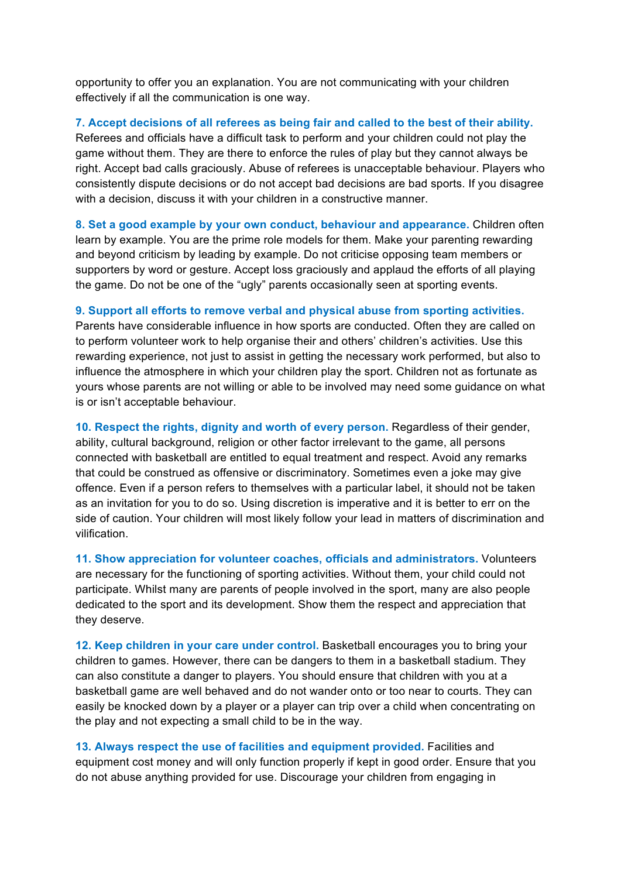opportunity to offer you an explanation. You are not communicating with your children effectively if all the communication is one way.

**7. Accept decisions of all referees as being fair and called to the best of their ability.**

Referees and officials have a difficult task to perform and your children could not play the game without them. They are there to enforce the rules of play but they cannot always be right. Accept bad calls graciously. Abuse of referees is unacceptable behaviour. Players who consistently dispute decisions or do not accept bad decisions are bad sports. If you disagree with a decision, discuss it with your children in a constructive manner.

**8. Set a good example by your own conduct, behaviour and appearance.** Children often learn by example. You are the prime role models for them. Make your parenting rewarding and beyond criticism by leading by example. Do not criticise opposing team members or supporters by word or gesture. Accept loss graciously and applaud the efforts of all playing the game. Do not be one of the "ugly" parents occasionally seen at sporting events.

## **9. Support all efforts to remove verbal and physical abuse from sporting activities.**

Parents have considerable influence in how sports are conducted. Often they are called on to perform volunteer work to help organise their and others' children's activities. Use this rewarding experience, not just to assist in getting the necessary work performed, but also to influence the atmosphere in which your children play the sport. Children not as fortunate as yours whose parents are not willing or able to be involved may need some guidance on what is or isn't acceptable behaviour.

**10. Respect the rights, dignity and worth of every person.** Regardless of their gender, ability, cultural background, religion or other factor irrelevant to the game, all persons connected with basketball are entitled to equal treatment and respect. Avoid any remarks that could be construed as offensive or discriminatory. Sometimes even a joke may give offence. Even if a person refers to themselves with a particular label, it should not be taken as an invitation for you to do so. Using discretion is imperative and it is better to err on the side of caution. Your children will most likely follow your lead in matters of discrimination and vilification.

**11. Show appreciation for volunteer coaches, officials and administrators.** Volunteers are necessary for the functioning of sporting activities. Without them, your child could not participate. Whilst many are parents of people involved in the sport, many are also people dedicated to the sport and its development. Show them the respect and appreciation that they deserve.

**12. Keep children in your care under control.** Basketball encourages you to bring your children to games. However, there can be dangers to them in a basketball stadium. They can also constitute a danger to players. You should ensure that children with you at a basketball game are well behaved and do not wander onto or too near to courts. They can easily be knocked down by a player or a player can trip over a child when concentrating on the play and not expecting a small child to be in the way.

**13. Always respect the use of facilities and equipment provided.** Facilities and equipment cost money and will only function properly if kept in good order. Ensure that you do not abuse anything provided for use. Discourage your children from engaging in